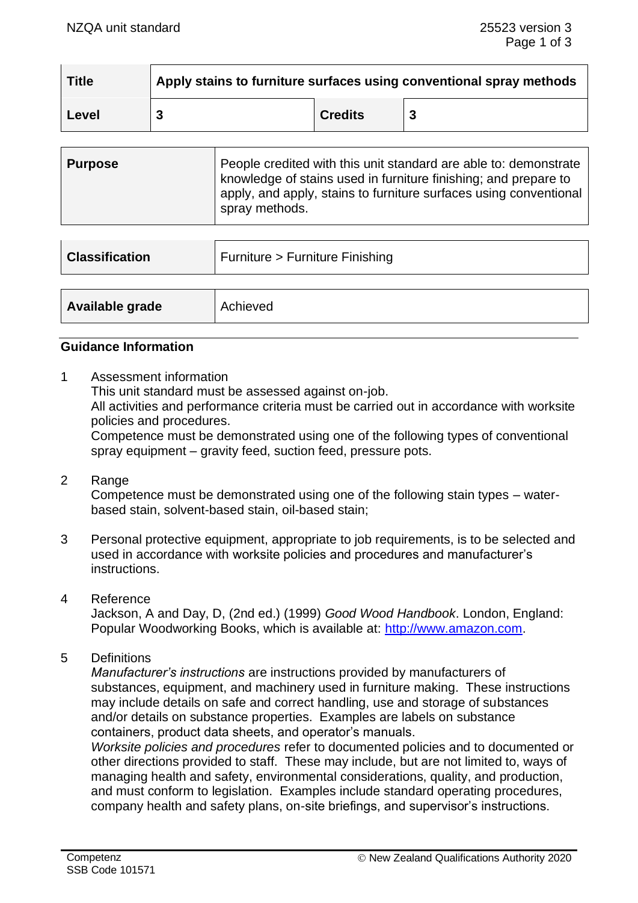| <b>Title</b> | Apply stains to furniture surfaces using conventional spray methods |                |  |
|--------------|---------------------------------------------------------------------|----------------|--|
| Level        |                                                                     | <b>Credits</b> |  |

| <b>Purpose</b> | People credited with this unit standard are able to: demonstrate<br>knowledge of stains used in furniture finishing; and prepare to<br>apply, and apply, stains to furniture surfaces using conventional |
|----------------|----------------------------------------------------------------------------------------------------------------------------------------------------------------------------------------------------------|
|                | spray methods.                                                                                                                                                                                           |

| <b>Classification</b> | Furniture > Furniture Finishing |  |
|-----------------------|---------------------------------|--|
|                       |                                 |  |
| Available grade       | Achieved                        |  |

#### **Guidance Information**

1 Assessment information

This unit standard must be assessed against on-job.

All activities and performance criteria must be carried out in accordance with worksite policies and procedures.

Competence must be demonstrated using one of the following types of conventional spray equipment – gravity feed, suction feed, pressure pots.

- 2 Range Competence must be demonstrated using one of the following stain types – waterbased stain, solvent-based stain, oil-based stain;
- 3 Personal protective equipment, appropriate to job requirements, is to be selected and used in accordance with worksite policies and procedures and manufacturer's instructions.
- 4 Reference

Jackson, A and Day, D, (2nd ed.) (1999) *Good Wood Handbook*. London, England: Popular Woodworking Books, which is available at: [http://www.amazon.com.](http://www.amazon.com/)

5 Definitions

*Manufacturer's instructions* are instructions provided by manufacturers of substances, equipment, and machinery used in furniture making. These instructions may include details on safe and correct handling, use and storage of substances and/or details on substance properties. Examples are labels on substance containers, product data sheets, and operator's manuals.

*Worksite policies and procedures* refer to documented policies and to documented or other directions provided to staff. These may include, but are not limited to, ways of managing health and safety, environmental considerations, quality, and production, and must conform to legislation. Examples include standard operating procedures, company health and safety plans, on-site briefings, and supervisor's instructions.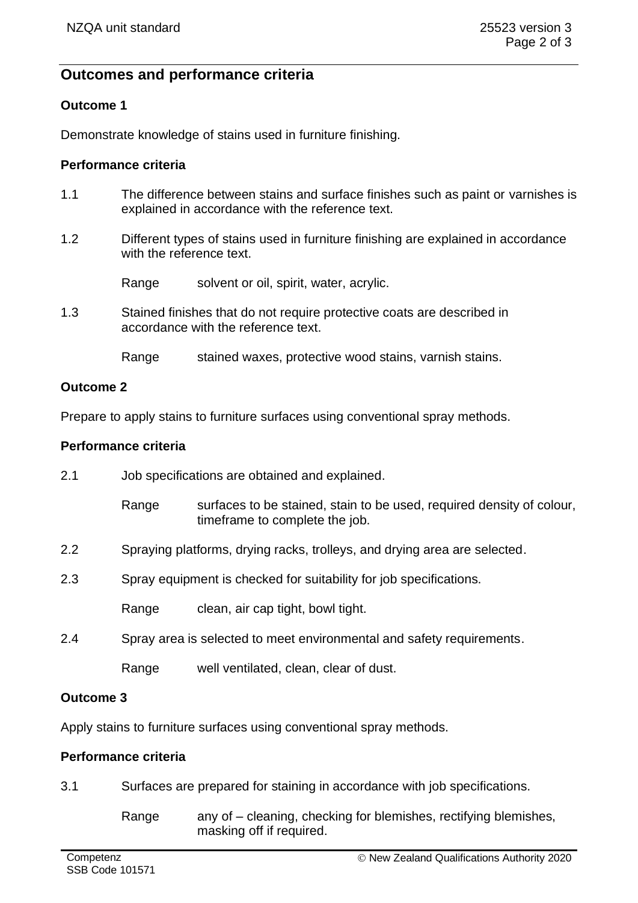# **Outcomes and performance criteria**

### **Outcome 1**

Demonstrate knowledge of stains used in furniture finishing.

#### **Performance criteria**

- 1.1 The difference between stains and surface finishes such as paint or varnishes is explained in accordance with the reference text.
- 1.2 Different types of stains used in furniture finishing are explained in accordance with the reference text.

Range solvent or oil, spirit, water, acrylic.

1.3 Stained finishes that do not require protective coats are described in accordance with the reference text.

Range stained waxes, protective wood stains, varnish stains.

#### **Outcome 2**

Prepare to apply stains to furniture surfaces using conventional spray methods.

#### **Performance criteria**

2.1 Job specifications are obtained and explained. Range surfaces to be stained, stain to be used, required density of colour, timeframe to complete the job. 2.2 Spraying platforms, drying racks, trolleys, and drying area are selected. 2.3 Spray equipment is checked for suitability for job specifications. Range clean, air cap tight, bowl tight. 2.4 Spray area is selected to meet environmental and safety requirements. Range well ventilated, clean, clear of dust.

#### **Outcome 3**

Apply stains to furniture surfaces using conventional spray methods.

#### **Performance criteria**

- 3.1 Surfaces are prepared for staining in accordance with job specifications.
	- Range any of cleaning, checking for blemishes, rectifying blemishes, masking off if required.